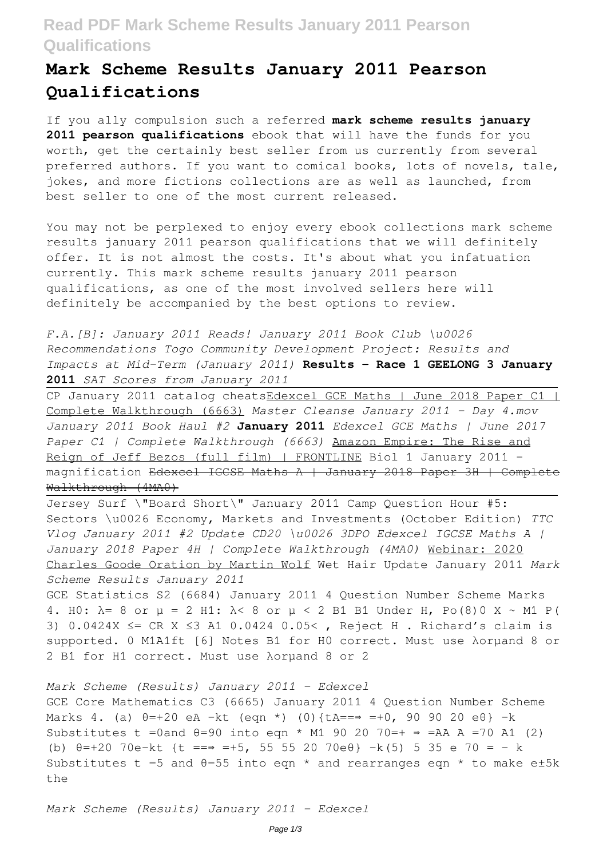## **Read PDF Mark Scheme Results January 2011 Pearson Qualifications**

## **Mark Scheme Results January 2011 Pearson Qualifications**

If you ally compulsion such a referred **mark scheme results january** 2011 **pearson qualifications** ebook that will have the funds for you worth, get the certainly best seller from us currently from several preferred authors. If you want to comical books, lots of novels, tale, jokes, and more fictions collections are as well as launched, from best seller to one of the most current released.

You may not be perplexed to enjoy every ebook collections mark scheme results january 2011 pearson qualifications that we will definitely offer. It is not almost the costs. It's about what you infatuation currently. This mark scheme results january 2011 pearson qualifications, as one of the most involved sellers here will definitely be accompanied by the best options to review.

*F.A.[B]: January 2011 Reads! January 2011 Book Club \u0026 Recommendations Togo Community Development Project: Results and Impacts at Mid-Term (January 2011)* **Results - Race 1 GEELONG 3 January 2011** *SAT Scores from January 2011*

CP January 2011 catalog cheatsEdexcel GCE Maths | June 2018 Paper C1 | Complete Walkthrough (6663) *Master Cleanse January 2011 - Day 4.mov January 2011 Book Haul #2* **January 2011** *Edexcel GCE Maths | June 2017 Paper C1 | Complete Walkthrough (6663)* Amazon Empire: The Rise and Reign of Jeff Bezos (full film) | FRONTLINE Biol 1 January 2011 magnification Edexcel IGCSE Maths A | January 2018 Paper 3H | Complete Walkthrough (4MA0)

Jersey Surf \"Board Short\" January 2011 Camp Question Hour #5: Sectors \u0026 Economy, Markets and Investments (October Edition) *TTC Vlog January 2011 #2 Update CD20 \u0026 3DPO Edexcel IGCSE Maths A | January 2018 Paper 4H | Complete Walkthrough (4MA0)* Webinar: 2020 Charles Goode Oration by Martin Wolf Wet Hair Update January 2011 *Mark Scheme Results January 2011*

GCE Statistics S2 (6684) January 2011 4 Question Number Scheme Marks 4. H0: λ= 8 or µ = 2 H1: λ< 8 or µ < 2 B1 B1 Under H, Po(8)0 X ∼ M1 P( 3) 0.0424X ≤= CR X ≤3 A1 0.0424 0.05< , Reject H . Richard's claim is supported. 0 M1A1ft [6] Notes B1 for H0 correct. Must use λorµand 8 or 2 B1 for H1 correct. Must use λorµand 8 or 2

*Mark Scheme (Results) January 2011 - Edexcel* GCE Core Mathematics C3 (6665) January 2011 4 Question Number Scheme Marks 4. (a) θ=+20 eA −kt (eqn \*) (0){tA==⇒ =+0, 90 90 20 eθ} −k Substitutes t =0and  $\theta$ =90 into eqn \* M1 90 20 70=+  $\Rightarrow$  =AA A =70 A1 (2) (b) θ=+20 70e−kt {t ==⇒ =+5, 55 55 20 70eθ} −k(5) 5 35 e 70 = − k Substitutes t =5 and  $\theta$ =55 into eqn  $*$  and rearranges eqn  $*$  to make e±5k the

*Mark Scheme (Results) January 2011 - Edexcel*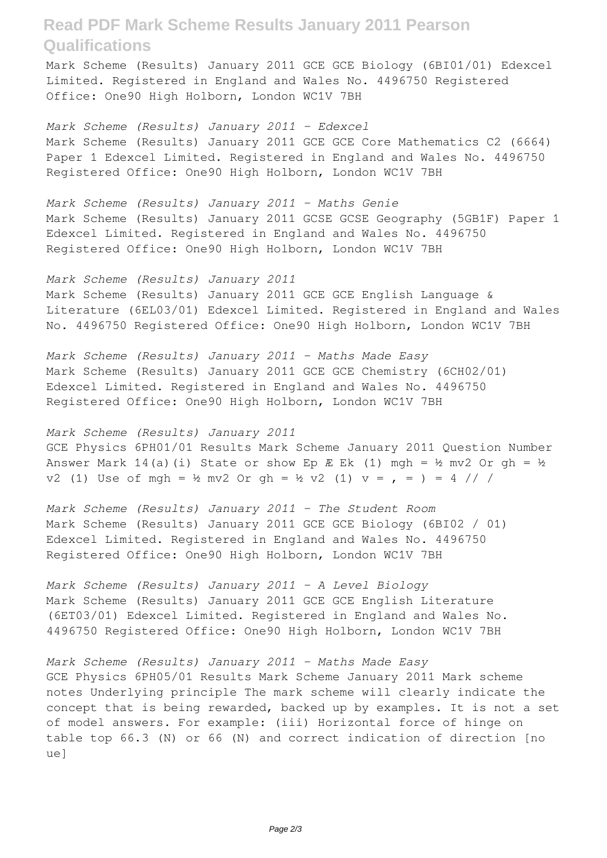## **Read PDF Mark Scheme Results January 2011 Pearson Qualifications**

Mark Scheme (Results) January 2011 GCE GCE Biology (6BI01/01) Edexcel Limited. Registered in England and Wales No. 4496750 Registered Office: One90 High Holborn, London WC1V 7BH

*Mark Scheme (Results) January 2011 - Edexcel* Mark Scheme (Results) January 2011 GCE GCE Core Mathematics C2 (6664) Paper 1 Edexcel Limited. Registered in England and Wales No. 4496750 Registered Office: One90 High Holborn, London WC1V 7BH

*Mark Scheme (Results) January 2011 - Maths Genie* Mark Scheme (Results) January 2011 GCSE GCSE Geography (5GB1F) Paper 1 Edexcel Limited. Registered in England and Wales No. 4496750 Registered Office: One90 High Holborn, London WC1V 7BH

*Mark Scheme (Results) January 2011* Mark Scheme (Results) January 2011 GCE GCE English Language & Literature (6EL03/01) Edexcel Limited. Registered in England and Wales No. 4496750 Registered Office: One90 High Holborn, London WC1V 7BH

*Mark Scheme (Results) January 2011 - Maths Made Easy* Mark Scheme (Results) January 2011 GCE GCE Chemistry (6CH02/01) Edexcel Limited. Registered in England and Wales No. 4496750 Registered Office: One90 High Holborn, London WC1V 7BH

*Mark Scheme (Results) January 2011* GCE Physics 6PH01/01 Results Mark Scheme January 2011 Question Number Answer Mark 14(a)(i) State or show Ep  $E$  Ek (1) mgh = ½ mv2 Or gh = ½ v2 (1) Use of mgh = ½ mv2 Or gh = ½ v2 (1)  $v =$ , = ) = 4 // /

*Mark Scheme (Results) January 2011 - The Student Room* Mark Scheme (Results) January 2011 GCE GCE Biology (6BI02 / 01) Edexcel Limited. Registered in England and Wales No. 4496750 Registered Office: One90 High Holborn, London WC1V 7BH

*Mark Scheme (Results) January 2011 - A Level Biology* Mark Scheme (Results) January 2011 GCE GCE English Literature (6ET03/01) Edexcel Limited. Registered in England and Wales No. 4496750 Registered Office: One90 High Holborn, London WC1V 7BH

*Mark Scheme (Results) January 2011 - Maths Made Easy* GCE Physics 6PH05/01 Results Mark Scheme January 2011 Mark scheme notes Underlying principle The mark scheme will clearly indicate the concept that is being rewarded, backed up by examples. It is not a set of model answers. For example: (iii) Horizontal force of hinge on table top 66.3 (N) or 66 (N) and correct indication of direction [no ue]